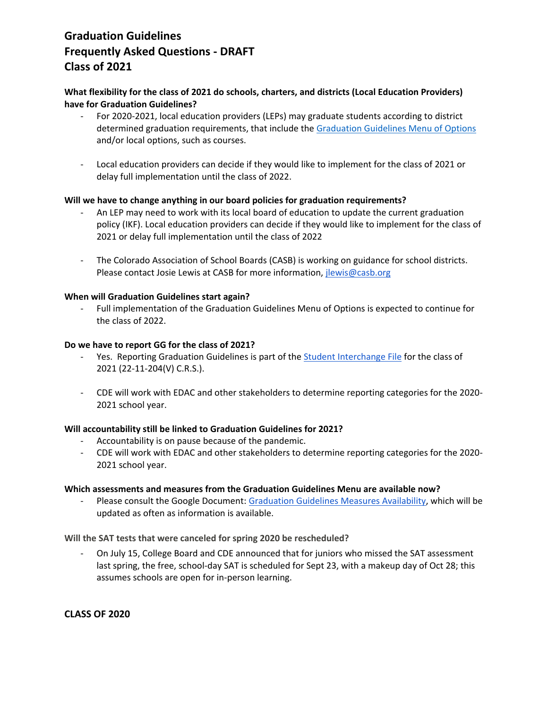# **Graduation Guidelines Frequently Asked Questions - DRAFT Class of 2021**

## **What flexibility for the class of 2021 do schools, charters, and districts (Local Education Providers) have for Graduation Guidelines?**

- For 2020-2021, local education providers (LEPs) may graduate students according to district determined graduation requirements, that include th[e Graduation Guidelines Menu of Options](http://www.cde.state.co.us/postsecondary/graduationguidelinesmenuofoptions3-12-20pdf) and/or local options, such as courses.
- Local education providers can decide if they would like to implement for the class of 2021 or delay full implementation until the class of 2022.

#### **Will we have to change anything in our board policies for graduation requirements?**

- An LEP may need to work with its local board of education to update the current graduation policy (IKF). Local education providers can decide if they would like to implement for the class of 2021 or delay full implementation until the class of 2022
- The Colorado Association of School Boards (CASB) is working on guidance for school districts. Please contact Josie Lewis at CASB for more information, *jlewis@casb.org*

#### **When will Graduation Guidelines start again?**

Full implementation of the Graduation Guidelines Menu of Options is expected to continue for the class of 2022.

#### **Do we have to report GG for the class of 2021?**

- Yes. Reporting Graduation Guidelines is part of the *Student Interchange File for the class of* 2021 (22-11-204(V) C.R.S.).
- CDE will work with EDAC and other stakeholders to determine reporting categories for the 2020- 2021 school year.

#### **Will accountability still be linked to Graduation Guidelines for 2021?**

- Accountability is on pause because of the pandemic.
- CDE will work with EDAC and other stakeholders to determine reporting categories for the 2020- 2021 school year.

#### **Which assessments and measures from the Graduation Guidelines Menu are available now?**

Please consult the Google Document: [Graduation Guidelines Measures Availability,](https://docs.google.com/document/d/1CYgdPvvpYlzQmFpFAD4t-Qy71OaPrTubfaMujhkxgy8/edit?usp=sharing) which will be updated as often as information is available.

#### **Will the SAT tests that were canceled for spring 2020 be rescheduled?**

On July 15, College Board and CDE announced that for juniors who missed the SAT assessment last spring, the free, school-day SAT is scheduled for Sept 23, with a makeup day of Oct 28; this assumes schools are open for in-person learning.

#### **CLASS OF 2020**